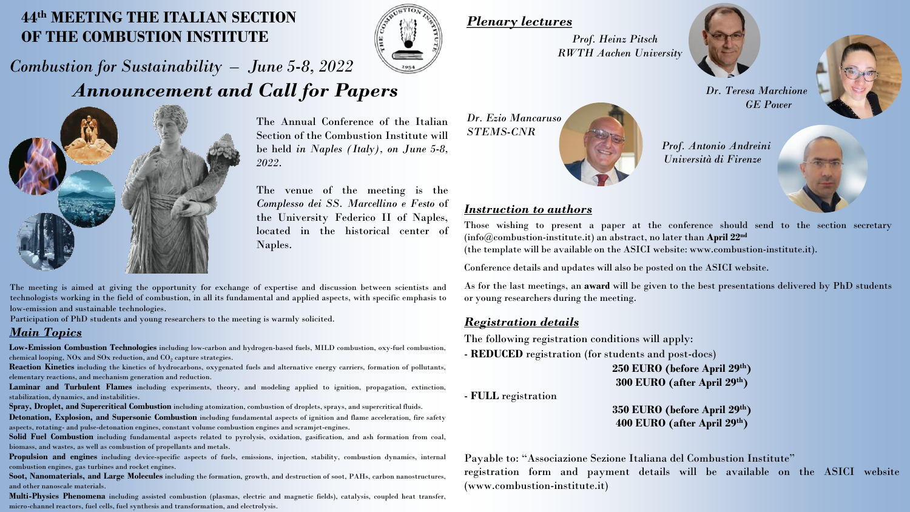# **44th MEETING THE ITALIAN SECTION OF THE COMBUSTION INSTITUTE**



# *Combustion for Sustainability – June 5-8, 2022 Announcement and Call for Papers*



The Annual Conference of the Italian Section of the Combustion Institute will be held *in Naples (Italy), on June 5-8, 2022*.

The venue of the meeting is the *Complesso dei SS. Marcellino e Festo* of the University Federico II of Naples, located in the historical center of Naples.

The meeting is aimed at giving the opportunity for exchange of expertise and discussion between scientists and technologists working in the field of combustion, in all its fundamental and applied aspects, with specific emphasis to low-emission and sustainable technologies.

Participation of PhD students and young researchers to the meeting is warmly solicited.

### *Main Topics*

**Low-Emission Combustion Technologies** including low-carbon and hydrogen-based fuels, MILD combustion, oxy-fuel combustion, chemical looping, NOx and SOx reduction, and  $\mathrm{CO}_2$  capture strategies.

**Reaction Kinetics** including the kinetics of hydrocarbons, oxygenated fuels and alternative energy carriers, formation of pollutants, elementary reactions, and mechanism generation and reduction.

**Laminar and Turbulent Flames** including experiments, theory, and modeling applied to ignition, propagation, extinction, stabilization, dynamics, and instabilities.

**Spray, Droplet, and Supercritical Combustion** including atomization, combustion of droplets, sprays, and supercritical fluids.

**Detonation, Explosion, and Supersonic Combustion** including fundamental aspects of ignition and flame acceleration, fire safety aspects, rotating- and pulse-detonation engines, constant volume combustion engines and scramjet-engines.

**Solid Fuel Combustion** including fundamental aspects related to pyrolysis, oxidation, gasification, and ash formation from coal, biomass, and wastes, as well as combustion of propellants and metals.

**Propulsion and engines** including device-specific aspects of fuels, emissions, injection, stability, combustion dynamics, internal combustion engines, gas turbines and rocket engines.

**Soot, Nanomaterials, and Large Molecules** including the formation, growth, and destruction of soot, PAHs, carbon nanostructures, and other nanoscale materials.

**Multi-Physics Phenomena** including assisted combustion (plasmas, electric and magnetic fields), catalysis, coupled heat transfer, micro-channel reactors, fuel cells, fuel synthesis and transformation, and electrolysis.

*Plenary lectures*

*Dr. Ezio Mancaruso STEMS-CNR*

*Prof. Heinz Pitsch RWTH Aachen University* 





*Dr. Teresa Marchione GE Power*

*Prof. Antonio Andreini Università di Firenze*

### *Instruction to authors*

Those wishing to present a paper at the conference should send to the section secretary (info@combustion-institute.it) an abstract, no later than **April 22nd**

(the template will be available on the ASICI website: www.combustion-institute.it).

Conference details and updates will also be posted on the ASICI website.

As for the last meetings, an **award** will be given to the best presentations delivered by PhD students or young researchers during the meeting.

### *Registration details*

The following registration conditions will apply:

- **REDUCED** registration (for students and post-docs)

**250 EURO (before April 29th) 300 EURO (after April 29th)**

- **FULL** registration

**350 EURO (before April 29th) 400 EURO (after April 29th)**

Payable to: "Associazione Sezione Italiana del Combustion Institute" registration form and payment details will be available on the ASICI website (www.combustion-institute.it)